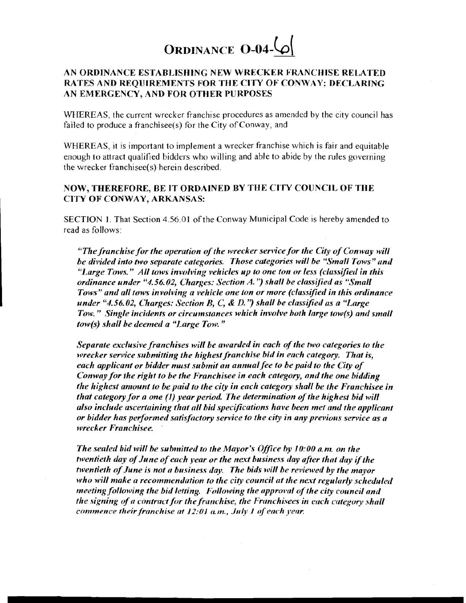

## **AN ORDINANCE ESTABLISHING NEW WRECKER FRANCIIISE RELATED RATES AND REQUIREMENTS FOR THE CITY OF CONWAY: DECLARmG AN EMERGENCY, AND FOR OTHER PURPOSES**

WHEREAS, the current wrecker franchise procedures as amended by the city council has failed to produce a franchisee(s) for the City of Conway, and

WHEREAS, it is important to implement a wrecker franchise which is fair and equitable enough to attract qualified bidders who willing and able to abide bv the rules governing the wrecker franchisee(s) herein described.

## **NOW, THEREFORE, BE IT ORDAINED BY THE CITY COIJNCIL OF THE CITY OF CONWAY, ARKANSAS:**

SECTION I. That Section 4.56.01 of the Conway Municipal Code is hereby amended to read as follows:

*"The franchise for the operation of the wrecker service for the City of Conway will be divided into two separate categories. Those categories will be "Small Tows" and* "Large Tows." All tows involving vehicles up to one ton or less (classified in this *ordinance under "4.56.02, Charges: Section A."*) shall be classified as "Small Tows" and all tows involving a vehicle one ton or more (classified in this ordinance *under "4.56.02, Charges: Section B, C,* & *D.'y shall be classified as a "Large Tow.*" *Single incidents or circumstances which involve both large tow(s) and small tow(s)* shall be deemed a "Large Tow."

*Separate exclusive franchises will be awarded in each of the two categories to the wrecker service submitting the highest franchise bid in each category. That is, each applicant or bidder must submit an annual fee to be paid to the City of Conway for the right to be the Franchisee in each category, and the one bidding the highest amount to be paid to the city in each category shall be the Franchisee in that category for a one (1) year period. The determination of the highest bid will also include ascertaining that all bid specifications have been met and the applicant or bidder has performed satisfactory service to the city in any previous service as a wrecker Franchisee.* '

*The sealed bid will be submitted to the Mayor's Office by 10:00 a.m. on the hventieth day of June of each year or the next business day after that day if the twentieth of June is not a business day. The bids will be reviewed by the mayor* who will make a recommendation to the city council at the next regularly scheduled *meeting following the bid letting. Following the approval of the city council and the signing of a contract for the franchise, the Franchisees in each category shall commence their franchise at 12:01 a.m., July 1 of each year.*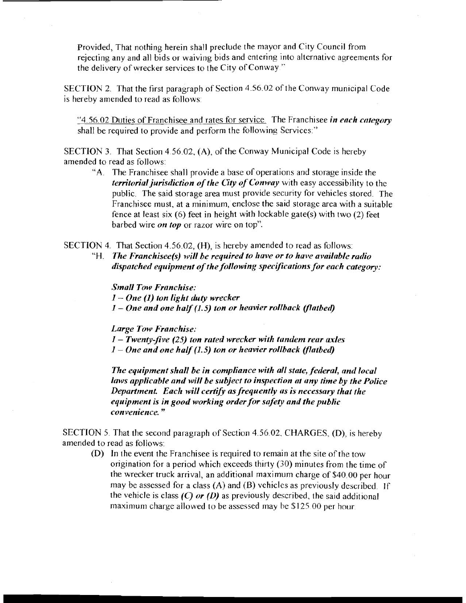Provided, That nothing herein shall preclude the mayor and City Council from rejecting any and all bids or waiving bids and entering into alternative agreements for the delivery of wrecker services to the City of Conway "

SECTION 2. That the first paragraph of Section 4.56.02 of the Conway municipal Code is hereby amended to read as follows:

"4.56.02 Duties of Franchisee and rates for service. The Franchisee *in each category* shall be required to provide and perform the following Services."

SECTION 3. That Section 4 56.02, (A), of the Conway Municipal Code is hereby amended to read as follows:

**"A.** The Franchisee shall provide a base of operations and storage inside the *territorial jurisdiction of the City of Conway* with easy accessibility to the public. The said storage area must provide security for vehicles stored. The Franchisee must, at a minimum, enclose the said storage area with a suitable fence at least six (6) feet in height with lockable gate(s) with two (2) feet barbed wire *on top* or razor wire on top".

SECTION 4. That Section 4.56.02, (H), is hereby amended to read as follows:

"H. *The Franchisee(s) will be required to have or to have avnilnble radio dispatched equipment of the following specifications for each category:* 

*Small Tow Franchise: I*- *One* (1) ton light duty wrecker *I* – *One and one half (1.5) ton or heavier rollback (flatbed)* 

*Large Tow Franchise:* 

**<sup>1</sup>**- *Twenty-five (25) ton rated wrecker with tandem rear axles* 

*I* – *One and one half (1.5) ton or heavier rollback (flatbed)* 

*The equipment shall be in compliance with all state, federal, and local laws applicable and will be subject to inspection at any time by the Police Department. Each will certify as frequently as is necessary that the equipment is in good working order for safety and the public convenience.* "

SECTION 5. That the second paragraph of Section 4.56.02, CHARGES, (D), is hereby amended to read as follows:

(D) In the event the Franchisee is required to remain at the site of the tow origination for a period which exceeds thirty (30) minutes from the time of the wrecker truck arrival, an additional maximum charge of \$40.00 per hour may be assessed for a class (A) and (B) vehicles as previously described. If the vehicle is class *(C) or (I))* as previously described, the said additional maximum charge allowed to be assessed may be \$125.00 per hour.